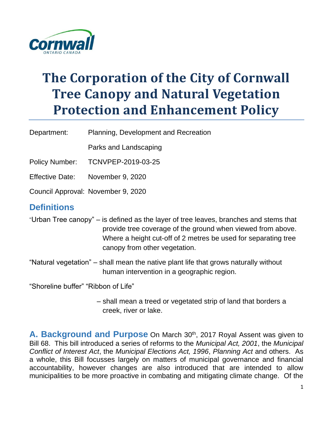

# **The Corporation of the City of Cornwall Tree Canopy and Natural Vegetation Protection and Enhancement Policy**

Department: Planning, Development and Recreation

Parks and Landscaping

Policy Number: TCNVPEP-2019-03-25

Effective Date: November 9, 2020

Council Approval: November 9, 2020

## **Definitions**

- "Urban Tree canopy" is defined as the layer of tree leaves, branches and stems that provide tree coverage of the ground when viewed from above. Where a height cut-off of 2 metres be used for separating tree canopy from other vegetation.
- "Natural vegetation" shall mean the native plant life that grows naturally without human intervention in a geographic region.

"Shoreline buffer" "Ribbon of Life"

– shall mean a treed or vegetated strip of land that borders a creek, river or lake.

**A. Background and Purpose** On March 30<sup>th</sup>, 2017 Royal Assent was given to Bill 68. This bill introduced a series of reforms to the *Municipal Act, 2001*, the *Municipal Conflict of Interest Act*, the *Municipal Elections Act, 1996*, *Planning Act* and others. As a whole, this Bill focusses largely on matters of municipal governance and financial accountability, however changes are also introduced that are intended to allow municipalities to be more proactive in combating and mitigating climate change. Of the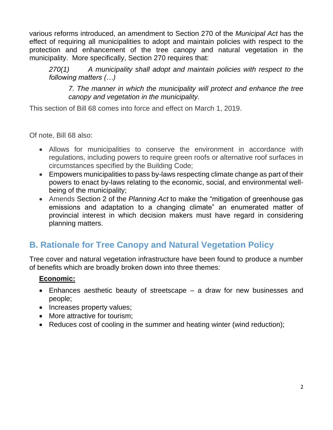various reforms introduced, an amendment to Section 270 of the *Municipal Act* has the effect of requiring all municipalities to adopt and maintain policies with respect to the protection and enhancement of the tree canopy and natural vegetation in the municipality. More specifically, Section 270 requires that:

*270(1) A municipality shall adopt and maintain policies with respect to the following matters (…)*

*7. The manner in which the municipality will protect and enhance the tree canopy and vegetation in the municipality.*

This section of Bill 68 comes into force and effect on March 1, 2019.

Of note, Bill 68 also:

- Allows for municipalities to conserve the environment in accordance with regulations, including powers to require green roofs or alternative roof surfaces in circumstances specified by the Building Code;
- Empowers municipalities to pass by-laws respecting climate change as part of their powers to enact by-laws relating to the economic, social, and environmental wellbeing of the municipality;
- Amends Section 2 of the *Planning Act* to make the "mitigation of greenhouse gas emissions and adaptation to a changing climate" an enumerated matter of provincial interest in which decision makers must have regard in considering planning matters.

## **B. Rationale for Tree Canopy and Natural Vegetation Policy**

Tree cover and natural vegetation infrastructure have been found to produce a number of benefits which are broadly broken down into three themes:

### **Economic:**

- Enhances aesthetic beauty of streetscape a draw for new businesses and people;
- Increases property values;
- More attractive for tourism;
- Reduces cost of cooling in the summer and heating winter (wind reduction);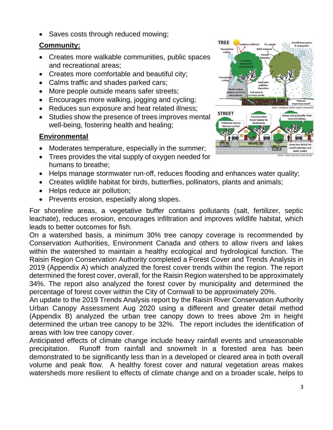• Saves costs through reduced mowing;

#### **Community:**

- Creates more walkable communities, public spaces and recreational areas;
- Creates more comfortable and beautiful city;
- Calms traffic and shades parked cars;
- More people outside means safer streets;
- Encourages more walking, jogging and cycling;
- Reduces sun exposure and heat related illness;
- Studies show the presence of trees improves mental well-being, fostering health and healing;

### **Environmental**

- Moderates temperature, especially in the summer;
- Trees provides the vital supply of oxygen needed for humans to breathe;
- Helps manage stormwater run-off, reduces flooding and enhances water quality;
- Creates wildlife habitat for birds, butterflies, pollinators, plants and animals;
- Helps reduce air pollution;
- Prevents erosion, especially along slopes.

For shoreline areas, a vegetative buffer contains pollutants (salt, fertilizer, septic leachate), reduces erosion, encourages infiltration and improves wildlife habitat, which leads to better outcomes for fish.

On a watershed basis, a minimum 30% tree canopy coverage is recommended by Conservation Authorities, Environment Canada and others to allow rivers and lakes within the watershed to maintain a healthy ecological and hydrological function. The Raisin Region Conservation Authority completed a Forest Cover and Trends Analysis in 2019 (Appendix A) which analyzed the forest cover trends within the region. The report determined the forest cover, overall, for the Raisin Region watershed to be approximately 34%. The report also analyzed the forest cover by municipality and determined the percentage of forest cover within the City of Cornwall to be approximately 20%.

An update to the 2019 Trends Analysis report by the Raisin River Conservation Authority Urban Canopy Assessment Aug 2020 using a different and greater detail method (Appendix B) analyzed the urban tree canopy down to trees above 2m in height determined the urban tree canopy to be 32%. The report includes the identification of areas with low tree canopy cover.

Anticipated effects of climate change include heavy rainfall events and unseasonable precipitation. Runoff from rainfall and snowmelt in a forested area has been demonstrated to be significantly less than in a developed or cleared area in both overall volume and peak flow. A healthy forest cover and natural vegetation areas makes watersheds more resilient to effects of climate change and on a broader scale, helps to

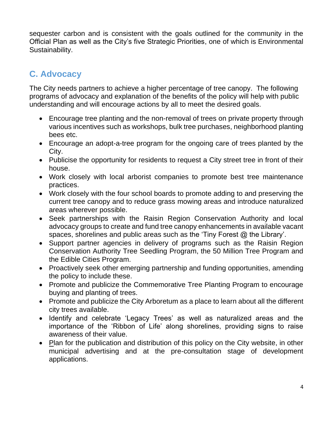sequester carbon and is consistent with the goals outlined for the community in the Official Plan as well as the City's five Strategic Priorities, one of which is Environmental Sustainability.

## **C. Advocacy**

The City needs partners to achieve a higher percentage of tree canopy. The following programs of advocacy and explanation of the benefits of the policy will help with public understanding and will encourage actions by all to meet the desired goals.

- Encourage tree planting and the non-removal of trees on private property through various incentives such as workshops, bulk tree purchases, neighborhood planting bees etc.
- Encourage an adopt-a-tree program for the ongoing care of trees planted by the City.
- Publicise the opportunity for residents to request a City street tree in front of their house.
- Work closely with local arborist companies to promote best tree maintenance practices.
- Work closely with the four school boards to promote adding to and preserving the current tree canopy and to reduce grass mowing areas and introduce naturalized areas wherever possible.
- Seek partnerships with the Raisin Region Conservation Authority and local advocacy groups to create and fund tree canopy enhancements in available vacant spaces, shorelines and public areas such as the 'Tiny Forest @ the Library'.
- Support partner agencies in delivery of programs such as the Raisin Region Conservation Authority Tree Seedling Program, the 50 Million Tree Program and the Edible Cities Program.
- Proactively seek other emerging partnership and funding opportunities, amending the policy to include these.
- Promote and publicize the Commemorative Tree Planting Program to encourage buying and planting of trees.
- Promote and publicize the City Arboretum as a place to learn about all the different city trees available.
- Identify and celebrate 'Legacy Trees' as well as naturalized areas and the importance of the 'Ribbon of Life' along shorelines, providing signs to raise awareness of their value.
- Plan for the publication and distribution of this policy on the City website, in other municipal advertising and at the pre-consultation stage of development applications.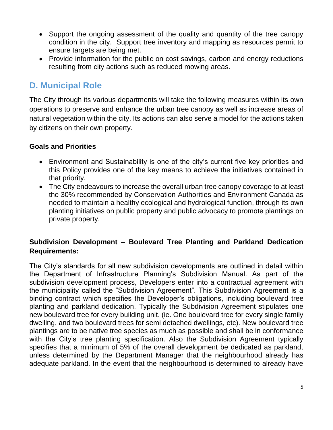- Support the ongoing assessment of the quality and quantity of the tree canopy condition in the city. Support tree inventory and mapping as resources permit to ensure targets are being met.
- Provide information for the public on cost savings, carbon and energy reductions resulting from city actions such as reduced mowing areas.

## **D. Municipal Role**

The City through its various departments will take the following measures within its own operations to preserve and enhance the urban tree canopy as well as increase areas of natural vegetation within the city. Its actions can also serve a model for the actions taken by citizens on their own property.

#### **Goals and Priorities**

- Environment and Sustainability is one of the city's current five key priorities and this Policy provides one of the key means to achieve the initiatives contained in that priority.
- The City endeavours to increase the overall urban tree canopy coverage to at least the 30% recommended by Conservation Authorities and Environment Canada as needed to maintain a healthy ecological and hydrological function, through its own planting initiatives on public property and public advocacy to promote plantings on private property.

### **Subdivision Development – Boulevard Tree Planting and Parkland Dedication Requirements:**

The City's standards for all new subdivision developments are outlined in detail within the Department of Infrastructure Planning's Subdivision Manual. As part of the subdivision development process, Developers enter into a contractual agreement with the municipality called the "Subdivision Agreement". This Subdivision Agreement is a binding contract which specifies the Developer's obligations, including boulevard tree planting and parkland dedication. Typically the Subdivision Agreement stipulates one new boulevard tree for every building unit. (ie. One boulevard tree for every single family dwelling, and two boulevard trees for semi detached dwellings, etc). New boulevard tree plantings are to be native tree species as much as possible and shall be in conformance with the City's tree planting specification. Also the Subdivision Agreement typically specifies that a minimum of 5% of the overall development be dedicated as parkland, unless determined by the Department Manager that the neighbourhood already has adequate parkland. In the event that the neighbourhood is determined to already have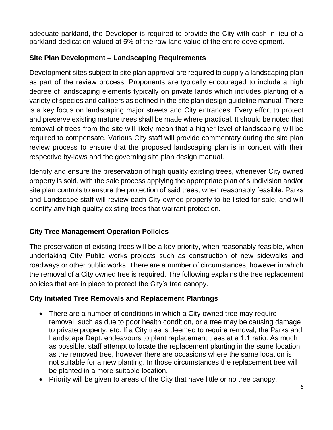adequate parkland, the Developer is required to provide the City with cash in lieu of a parkland dedication valued at 5% of the raw land value of the entire development.

### **Site Plan Development – Landscaping Requirements**

Development sites subject to site plan approval are required to supply a landscaping plan as part of the review process. Proponents are typically encouraged to include a high degree of landscaping elements typically on private lands which includes planting of a variety of species and callipers as defined in the site plan design guideline manual. There is a key focus on landscaping major streets and City entrances. Every effort to protect and preserve existing mature trees shall be made where practical. It should be noted that removal of trees from the site will likely mean that a higher level of landscaping will be required to compensate. Various City staff will provide commentary during the site plan review process to ensure that the proposed landscaping plan is in concert with their respective by-laws and the governing site plan design manual.

Identify and ensure the preservation of high quality existing trees, whenever City owned property is sold, with the sale process applying the appropriate plan of subdivision and/or site plan controls to ensure the protection of said trees, when reasonably feasible. Parks and Landscape staff will review each City owned property to be listed for sale, and will identify any high quality existing trees that warrant protection.

### **City Tree Management Operation Policies**

The preservation of existing trees will be a key priority, when reasonably feasible, when undertaking City Public works projects such as construction of new sidewalks and roadways or other public works. There are a number of circumstances, however in which the removal of a City owned tree is required. The following explains the tree replacement policies that are in place to protect the City's tree canopy.

### **City Initiated Tree Removals and Replacement Plantings**

- There are a number of conditions in which a City owned tree may require removal, such as due to poor health condition, or a tree may be causing damage to private property, etc. If a City tree is deemed to require removal, the Parks and Landscape Dept. endeavours to plant replacement trees at a 1:1 ratio. As much as possible, staff attempt to locate the replacement planting in the same location as the removed tree, however there are occasions where the same location is not suitable for a new planting. In those circumstances the replacement tree will be planted in a more suitable location.
- Priority will be given to areas of the City that have little or no tree canopy.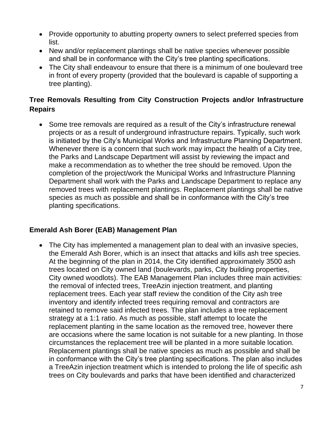- Provide opportunity to abutting property owners to select preferred species from list.
- New and/or replacement plantings shall be native species whenever possible and shall be in conformance with the City's tree planting specifications.
- The City shall endeavour to ensure that there is a minimum of one boulevard tree in front of every property (provided that the boulevard is capable of supporting a tree planting).

### **Tree Removals Resulting from City Construction Projects and/or Infrastructure Repairs**

• Some tree removals are required as a result of the City's infrastructure renewal projects or as a result of underground infrastructure repairs. Typically, such work is initiated by the City's Municipal Works and Infrastructure Planning Department. Whenever there is a concern that such work may impact the health of a City tree, the Parks and Landscape Department will assist by reviewing the impact and make a recommendation as to whether the tree should be removed. Upon the completion of the project/work the Municipal Works and Infrastructure Planning Department shall work with the Parks and Landscape Department to replace any removed trees with replacement plantings. Replacement plantings shall be native species as much as possible and shall be in conformance with the City's tree planting specifications.

### **Emerald Ash Borer (EAB) Management Plan**

• The City has implemented a management plan to deal with an invasive species, the Emerald Ash Borer, which is an insect that attacks and kills ash tree species. At the beginning of the plan in 2014, the City identified approximately 3500 ash trees located on City owned land (boulevards, parks, City building properties, City owned woodlots). The EAB Management Plan includes three main activities: the removal of infected trees, TreeAzin injection treatment, and planting replacement trees. Each year staff review the condition of the City ash tree inventory and identify infected trees requiring removal and contractors are retained to remove said infected trees. The plan includes a tree replacement strategy at a 1:1 ratio. As much as possible, staff attempt to locate the replacement planting in the same location as the removed tree, however there are occasions where the same location is not suitable for a new planting. In those circumstances the replacement tree will be planted in a more suitable location. Replacement plantings shall be native species as much as possible and shall be in conformance with the City's tree planting specifications. The plan also includes a TreeAzin injection treatment which is intended to prolong the life of specific ash trees on City boulevards and parks that have been identified and characterized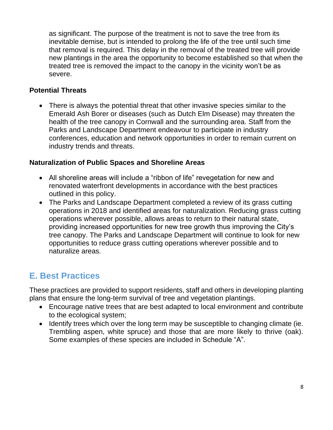as significant. The purpose of the treatment is not to save the tree from its inevitable demise, but is intended to prolong the life of the tree until such time that removal is required. This delay in the removal of the treated tree will provide new plantings in the area the opportunity to become established so that when the treated tree is removed the impact to the canopy in the vicinity won't be as severe.

#### **Potential Threats**

• There is always the potential threat that other invasive species similar to the Emerald Ash Borer or diseases (such as Dutch Elm Disease) may threaten the health of the tree canopy in Cornwall and the surrounding area. Staff from the Parks and Landscape Department endeavour to participate in industry conferences, education and network opportunities in order to remain current on industry trends and threats.

#### **Naturalization of Public Spaces and Shoreline Areas**

- All shoreline areas will include a "ribbon of life" revegetation for new and renovated waterfront developments in accordance with the best practices outlined in this policy.
- The Parks and Landscape Department completed a review of its grass cutting operations in 2018 and identified areas for naturalization. Reducing grass cutting operations wherever possible, allows areas to return to their natural state, providing increased opportunities for new tree growth thus improving the City's tree canopy. The Parks and Landscape Department will continue to look for new opportunities to reduce grass cutting operations wherever possible and to naturalize areas.

## **E. Best Practices**

These practices are provided to support residents, staff and others in developing planting plans that ensure the long-term survival of tree and vegetation plantings.

- Encourage native trees that are best adapted to local environment and contribute to the ecological system;
- Identify trees which over the long term may be susceptible to changing climate (ie. Trembling aspen, white spruce) and those that are more likely to thrive (oak). Some examples of these species are included in Schedule "A".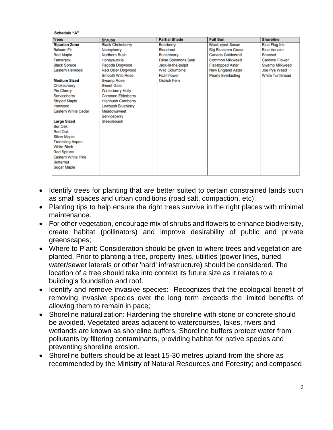#### **Schedule "A"**

| <b>Trees</b>               | <b>Shrubs</b>             | <b>Partial Shade</b>       | <b>Full Sun</b>           | <b>Shoreline</b>        |
|----------------------------|---------------------------|----------------------------|---------------------------|-------------------------|
| <b>Riparian Zone</b>       | <b>Black Chokeberry</b>   | Bearberry                  | <b>Black-eyed Susan</b>   | <b>Blue Flag Iris</b>   |
| <b>Balsam Fir</b>          | Nannyberry                | <b>Bloodroot</b>           | <b>Big Bluestem Grass</b> | <b>Blue Vervain</b>     |
| <b>Red Maple</b>           | Northern Bush             | Bunchberry                 | Canada Goldenrod          | <b>Boneset</b>          |
| Tamarack                   | Honeysuckle               | <b>False Solomons Seal</b> | <b>Common Milkweed</b>    | <b>Cardinal Flower</b>  |
| <b>Black Spruce</b>        | Pagoda Dogwood            | Jack-in-the-pulpit         | <b>Flat-topped Aster</b>  | Swamp Milkweed          |
| <b>Eastern Hemlock</b>     | <b>Red Osier Dogwood</b>  | <b>Wild Columbine</b>      | <b>New England Aster</b>  | Joe Pye Weed            |
|                            | Smooth Wild Rose          | Foamflower                 | <b>Pearly Everlasting</b> | <b>White Turtlehead</b> |
| <b>Medium Sized</b>        | <b>Swamp Rose</b>         | <b>Ostrich Fern</b>        |                           |                         |
| Chokecherry                | <b>Sweet Gale</b>         |                            |                           |                         |
| <b>Pin Cherry</b>          | <b>Winterberry Holly</b>  |                            |                           |                         |
| Serviceberry               | Common Elderberry         |                            |                           |                         |
| <b>Striped Maple</b>       | <b>Highbush Cranberry</b> |                            |                           |                         |
| Ironwood                   | <b>Lowbush Blueberry</b>  |                            |                           |                         |
| <b>Eastern White Cedar</b> | Meadowsweet               |                            |                           |                         |
|                            | Serviceberry              |                            |                           |                         |
| <b>Large Sized</b>         | Steeplebush               |                            |                           |                         |
| <b>Bur Oak</b>             |                           |                            |                           |                         |
| <b>Red Oak</b>             |                           |                            |                           |                         |
| <b>Silver Maple</b>        |                           |                            |                           |                         |
| <b>Trembling Aspen</b>     |                           |                            |                           |                         |
| <b>White Birch</b>         |                           |                            |                           |                         |
| <b>Red Spruce</b>          |                           |                            |                           |                         |
| <b>Eastern White Pine</b>  |                           |                            |                           |                         |
| <b>Butternut</b>           |                           |                            |                           |                         |
| <b>Sugar Maple</b>         |                           |                            |                           |                         |
|                            |                           |                            |                           |                         |

- Identify trees for planting that are better suited to certain constrained lands such as small spaces and urban conditions (road salt, compaction, etc).
- Planting tips to help ensure the right trees survive in the right places with minimal maintenance.
- For other vegetation, encourage mix of shrubs and flowers to enhance biodiversity, create habitat (pollinators) and improve desirability of public and private greenscapes;
- Where to Plant: Consideration should be given to where trees and vegetation are planted. Prior to planting a tree, property lines, utilities (power lines, buried water/sewer laterals or other 'hard' infrastructure) should be considered. The location of a tree should take into context its future size as it relates to a building's foundation and roof.
- Identify and remove invasive species: Recognizes that the ecological benefit of removing invasive species over the long term exceeds the limited benefits of allowing them to remain in pace;
- Shoreline naturalization: Hardening the shoreline with stone or concrete should be avoided. Vegetated areas adjacent to watercourses, lakes, rivers and wetlands are known as shoreline buffers. Shoreline buffers protect water from pollutants by filtering contaminants, providing habitat for native species and preventing shoreline erosion.
- Shoreline buffers should be at least 15-30 metres upland from the shore as recommended by the Ministry of Natural Resources and Forestry; and composed